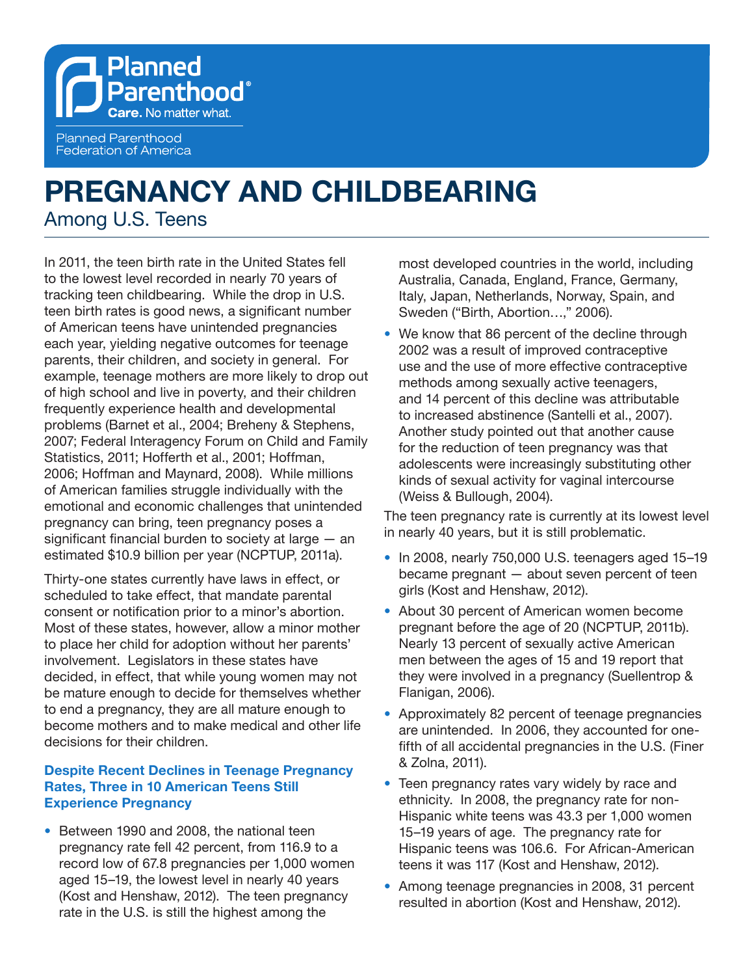**Planned Parenthood**® **Care.** No matter what. **Planned Parenthood Federation of America** 

# **PREGNANCY AND CHILDBEARING**  Among U.S. Teens

In 2011, the teen birth rate in the United States fell to the lowest level recorded in nearly 70 years of tracking teen childbearing. While the drop in U.S. teen birth rates is good news, a significant number of American teens have unintended pregnancies each year, yielding negative outcomes for teenage parents, their children, and society in general. For example, teenage mothers are more likely to drop out of high school and live in poverty, and their children frequently experience health and developmental problems (Barnet et al., 2004; Breheny & Stephens, 2007; Federal Interagency Forum on Child and Family Statistics, 2011; Hofferth et al., 2001; Hoffman, 2006; Hoffman and Maynard, 2008). While millions of American families struggle individually with the emotional and economic challenges that unintended pregnancy can bring, teen pregnancy poses a significant financial burden to society at large — an estimated \$10.9 billion per year (NCPTUP, 2011a).

Thirty-one states currently have laws in effect, or scheduled to take effect, that mandate parental consent or notification prior to a minor's abortion. Most of these states, however, allow a minor mother to place her child for adoption without her parents' involvement. Legislators in these states have decided, in effect, that while young women may not be mature enough to decide for themselves whether to end a pregnancy, they are all mature enough to become mothers and to make medical and other life decisions for their children.

## **Despite Recent Declines in Teenage Pregnancy Rates, Three in 10 American Teens Still Experience Pregnancy**

**•**  Between 1990 and 2008, the national teen pregnancy rate fell 42 percent, from 116.9 to a record low of 67.8 pregnancies per 1,000 women aged 15–19, the lowest level in nearly 40 years (Kost and Henshaw, 2012). The teen pregnancy rate in the U.S. is still the highest among the

most developed countries in the world, including Australia, Canada, England, France, Germany, Italy, Japan, Netherlands, Norway, Spain, and Sweden ("Birth, Abortion…," 2006).

• We know that 86 percent of the decline through 2002 was a result of improved contraceptive use and the use of more effective contraceptive methods among sexually active teenagers, and 14 percent of this decline was attributable to increased abstinence (Santelli et al., 2007). Another study pointed out that another cause for the reduction of teen pregnancy was that adolescents were increasingly substituting other kinds of sexual activity for vaginal intercourse (Weiss & Bullough, 2004).

The teen pregnancy rate is currently at its lowest level in nearly 40 years, but it is still problematic.

- **•**  In 2008, nearly 750,000 U.S. teenagers aged 15–19 became pregnant — about seven percent of teen girls (Kost and Henshaw, 2012).
- **•**  About 30 percent of American women become pregnant before the age of 20 (NCPTUP, 2011b). Nearly 13 percent of sexually active American men between the ages of 15 and 19 report that they were involved in a pregnancy (Suellentrop & Flanigan, 2006).
- Approximately 82 percent of teenage pregnancies are unintended. In 2006, they accounted for onefifth of all accidental pregnancies in the U.S. (Finer & Zolna, 2011).
- Teen pregnancy rates vary widely by race and ethnicity. In 2008, the pregnancy rate for non-Hispanic white teens was 43.3 per 1,000 women 15–19 years of age. The pregnancy rate for Hispanic teens was 106.6. For African-American teens it was 117 (Kost and Henshaw, 2012).
- **•**  Among teenage pregnancies in 2008, 31 percent resulted in abortion (Kost and Henshaw, 2012).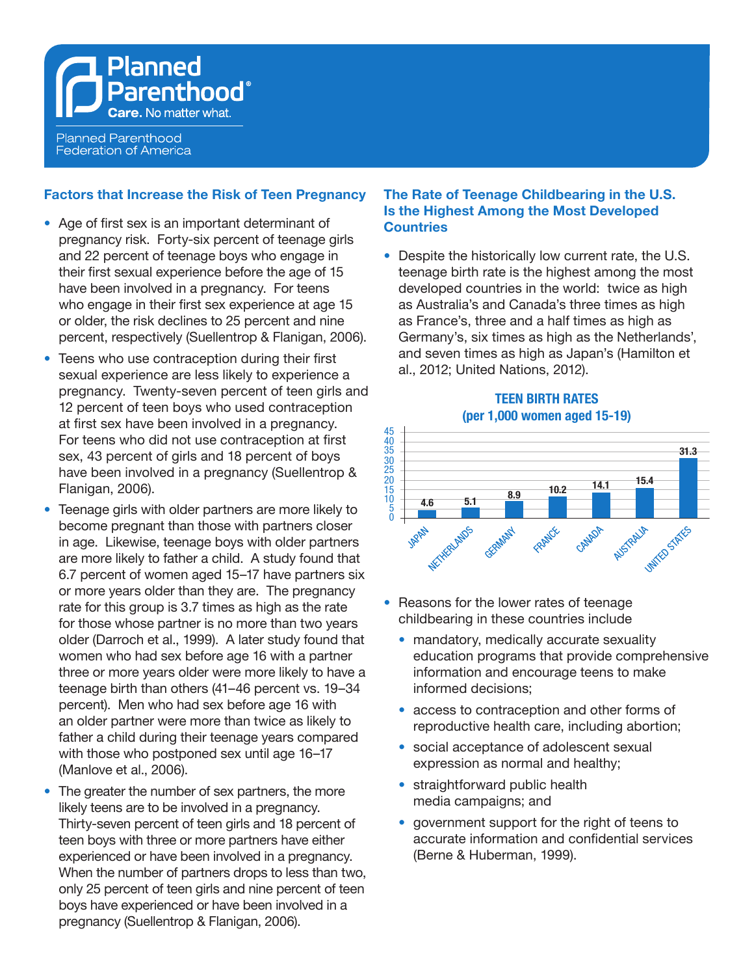**Federation of America** 

**Factors that Increase the Risk of Teen Pregnancy**

- **•**  Age of first sex is an important determinant of pregnancy risk. Forty-six percent of teenage girls and 22 percent of teenage boys who engage in their first sexual experience before the age of 15 have been involved in a pregnancy. For teens who engage in their first sex experience at age 15 or older, the risk declines to 25 percent and nine percent, respectively (Suellentrop & Flanigan, 2006).
- Teens who use contraception during their first sexual experience are less likely to experience a pregnancy. Twenty-seven percent of teen girls and 12 percent of teen boys who used contraception at first sex have been involved in a pregnancy. For teens who did not use contraception at first sex, 43 percent of girls and 18 percent of boys have been involved in a pregnancy (Suellentrop & Flanigan, 2006).
- **•**  Teenage girls with older partners are more likely to become pregnant than those with partners closer in age. Likewise, teenage boys with older partners are more likely to father a child. A study found that 6.7 percent of women aged 15–17 have partners six or more years older than they are. The pregnancy rate for this group is 3.7 times as high as the rate for those whose partner is no more than two years older (Darroch et al., 1999). A later study found that women who had sex before age 16 with a partner three or more years older were more likely to have a teenage birth than others (41–46 percent vs. 19–34 percent). Men who had sex before age 16 with an older partner were more than twice as likely to father a child during their teenage years compared with those who postponed sex until age 16–17 (Manlove et al., 2006).
- The greater the number of sex partners, the more likely teens are to be involved in a pregnancy. Thirty-seven percent of teen girls and 18 percent of teen boys with three or more partners have either experienced or have been involved in a pregnancy. When the number of partners drops to less than two, only 25 percent of teen girls and nine percent of teen boys have experienced or have been involved in a pregnancy (Suellentrop & Flanigan, 2006).

#### **The Rate of Teenage Childbearing in the U.S. Is the Highest Among the Most Developed Countries**

• Despite the historically low current rate, the U.S. teenage birth rate is the highest among the most developed countries in the world: twice as high as Australia's and Canada's three times as high as France's, three and a half times as high as Germany's, six times as high as the Netherlands', and seven times as high as Japan's (Hamilton et al., 2012; United Nations, 2012).





- Reasons for the lower rates of teenage childbearing in these countries include
	- mandatory, medically accurate sexuality education programs that provide comprehensive information and encourage teens to make informed decisions;
	- access to contraception and other forms of reproductive health care, including abortion;
	- social acceptance of adolescent sexual expression as normal and healthy;
	- **•** straightforward public health media campaigns; and
	- government support for the right of teens to accurate information and confidential services (Berne & Huberman, 1999).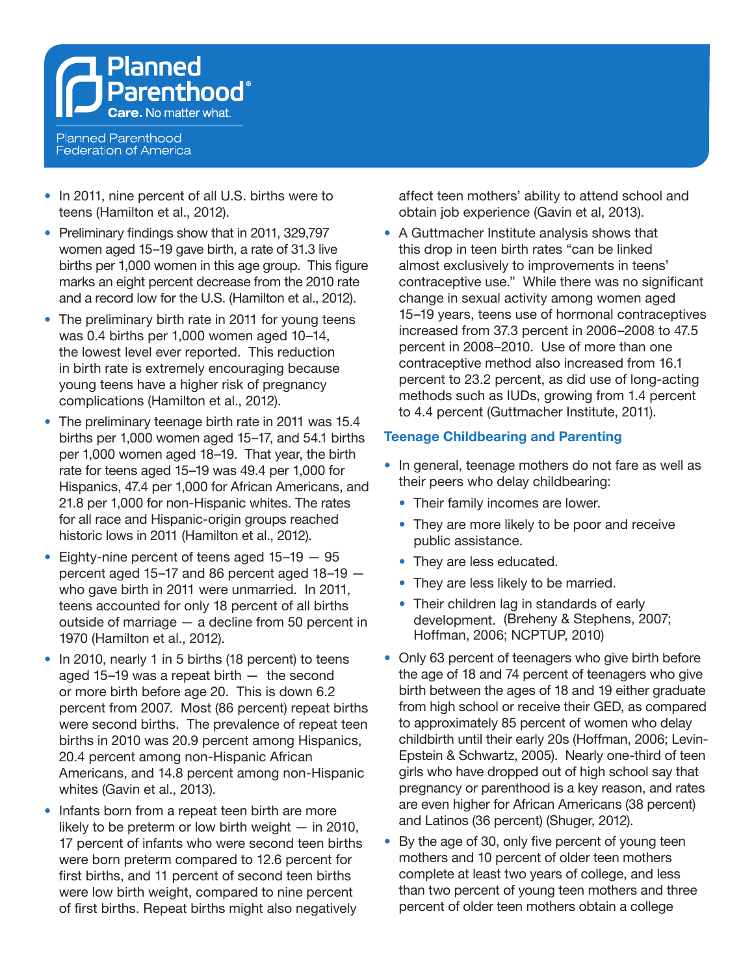

- **•**  In 2011, nine percent of all U.S. births were to teens (Hamilton et al., 2012).
- Preliminary findings show that in 2011, 329,797 women aged 15–19 gave birth, a rate of 31.3 live births per 1,000 women in this age group. This figure marks an eight percent decrease from the 2010 rate and a record low for the U.S. (Hamilton et al., 2012).
- The preliminary birth rate in 2011 for young teens was 0.4 births per 1,000 women aged 10–14, the lowest level ever reported. This reduction in birth rate is extremely encouraging because young teens have a higher risk of pregnancy complications (Hamilton et al., 2012).
- **•**  The preliminary teenage birth rate in 2011 was 15.4 births per 1,000 women aged 15–17, and 54.1 births per 1,000 women aged 18–19. That year, the birth rate for teens aged 15–19 was 49.4 per 1,000 for Hispanics, 47.4 per 1,000 for African Americans, and 21.8 per 1,000 for non-Hispanic whites. The rates for all race and Hispanic-origin groups reached historic lows in 2011 (Hamilton et al., 2012).
- Eighty-nine percent of teens aged 15–19 95 percent aged 15–17 and 86 percent aged 18–19 who gave birth in 2011 were unmarried. In 2011, teens accounted for only 18 percent of all births outside of marriage — a decline from 50 percent in 1970 (Hamilton et al., 2012).
- In 2010, nearly 1 in 5 births (18 percent) to teens aged 15–19 was a repeat birth — the second or more birth before age 20. This is down 6.2 percent from 2007. Most (86 percent) repeat births were second births. The prevalence of repeat teen births in 2010 was 20.9 percent among Hispanics, 20.4 percent among non-Hispanic African Americans, and 14.8 percent among non-Hispanic whites (Gavin et al., 2013).
- Infants born from a repeat teen birth are more likely to be preterm or low birth weight — in 2010, 17 percent of infants who were second teen births were born preterm compared to 12.6 percent for first births, and 11 percent of second teen births were low birth weight, compared to nine percent of first births. Repeat births might also negatively

affect teen mothers' ability to attend school and obtain job experience (Gavin et al, 2013).

**•**  A Guttmacher Institute analysis shows that this drop in teen birth rates "can be linked almost exclusively to improvements in teens' contraceptive use." While there was no significant change in sexual activity among women aged 15–19 years, teens use of hormonal contraceptives increased from 37.3 percent in 2006–2008 to 47.5 percent in 2008–2010. Use of more than one contraceptive method also increased from 16.1 percent to 23.2 percent, as did use of long-acting methods such as IUDs, growing from 1.4 percent to 4.4 percent (Guttmacher Institute, 2011).

## **Teenage Childbearing and Parenting**

- In general, teenage mothers do not fare as well as their peers who delay childbearing:
	- **•**  Their family incomes are lower.
	- They are more likely to be poor and receive public assistance.
	- They are less educated.
	- **•**  They are less likely to be married.
	- Their children lag in standards of early development. (Breheny & Stephens, 2007; Hoffman, 2006; NCPTUP, 2010)
- Only 63 percent of teenagers who give birth before the age of 18 and 74 percent of teenagers who give birth between the ages of 18 and 19 either graduate from high school or receive their GED, as compared to approximately 85 percent of women who delay childbirth until their early 20s (Hoffman, 2006; Levin-Epstein & Schwartz, 2005). Nearly one-third of teen girls who have dropped out of high school say that pregnancy or parenthood is a key reason, and rates are even higher for African Americans (38 percent) and Latinos (36 percent) (Shuger, 2012).
- By the age of 30, only five percent of young teen mothers and 10 percent of older teen mothers complete at least two years of college, and less than two percent of young teen mothers and three percent of older teen mothers obtain a college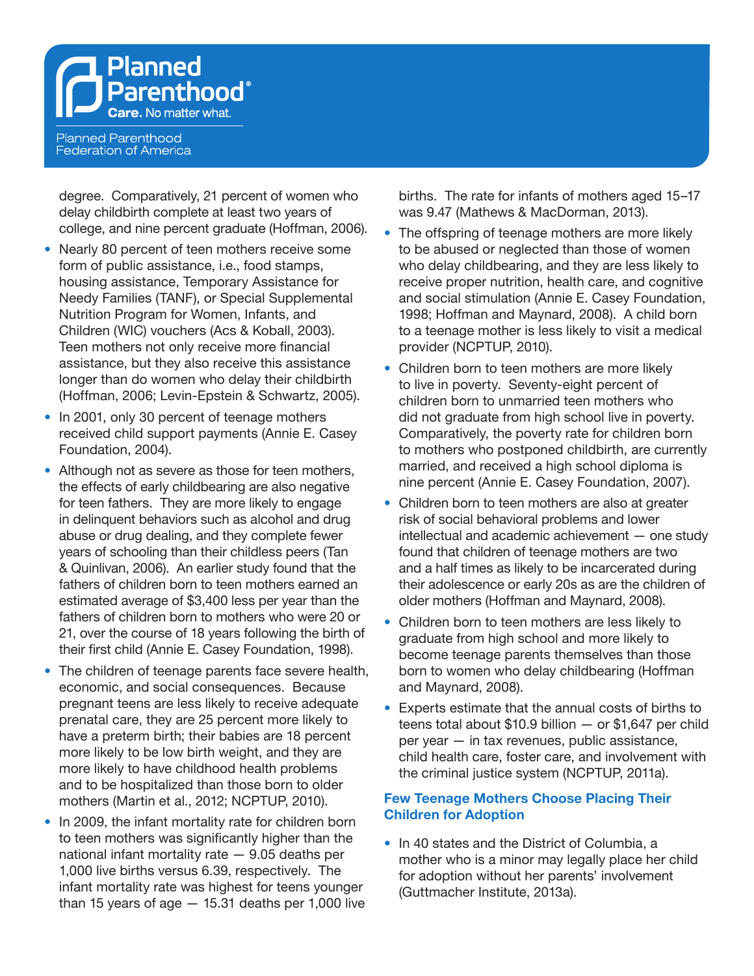**Federation of America** 

degree. Comparatively, 21 percent of women who delay childbirth complete at least two years of college, and nine percent graduate (Hoffman, 2006).

- Nearly 80 percent of teen mothers receive some form of public assistance, i.e., food stamps, housing assistance, Temporary Assistance for Needy Families (TANF), or Special Supplemental Nutrition Program for Women, Infants, and Children (WIC) vouchers (Acs & Koball, 2003). Teen mothers not only receive more financial assistance, but they also receive this assistance longer than do women who delay their childbirth (Hoffman, 2006; Levin-Epstein & Schwartz, 2005).
- In 2001, only 30 percent of teenage mothers received child support payments (Annie E. Casey Foundation, 2004).
- Although not as severe as those for teen mothers, the effects of early childbearing are also negative for teen fathers. They are more likely to engage in delinquent behaviors such as alcohol and drug abuse or drug dealing, and they complete fewer years of schooling than their childless peers (Tan & Quinlivan, 2006). An earlier study found that the fathers of children born to teen mothers earned an estimated average of \$3,400 less per year than the fathers of children born to mothers who were 20 or 21, over the course of 18 years following the birth of their first child (Annie E. Casey Foundation, 1998).
- **•**  The children of teenage parents face severe health, economic, and social consequences. Because pregnant teens are less likely to receive adequate prenatal care, they are 25 percent more likely to have a preterm birth; their babies are 18 percent more likely to be low birth weight, and they are more likely to have childhood health problems and to be hospitalized than those born to older mothers (Martin et al., 2012; NCPTUP, 2010).
- In 2009, the infant mortality rate for children born to teen mothers was significantly higher than the national infant mortality rate — 9.05 deaths per 1,000 live births versus 6.39, respectively. The infant mortality rate was highest for teens younger than 15 years of age  $-$  15.31 deaths per 1,000 live

births. The rate for infants of mothers aged 15–17 was 9.47 (Mathews & MacDorman, 2013).

- The offspring of teenage mothers are more likely to be abused or neglected than those of women who delay childbearing, and they are less likely to receive proper nutrition, health care, and cognitive and social stimulation (Annie E. Casey Foundation, 1998; Hoffman and Maynard, 2008). A child born to a teenage mother is less likely to visit a medical provider (NCPTUP, 2010).
- Children born to teen mothers are more likely to live in poverty. Seventy-eight percent of children born to unmarried teen mothers who did not graduate from high school live in poverty. Comparatively, the poverty rate for children born to mothers who postponed childbirth, are currently married, and received a high school diploma is nine percent (Annie E. Casey Foundation, 2007).
- Children born to teen mothers are also at greater risk of social behavioral problems and lower intellectual and academic achievement — one study found that children of teenage mothers are two and a half times as likely to be incarcerated during their adolescence or early 20s as are the children of older mothers (Hoffman and Maynard, 2008).
- Children born to teen mothers are less likely to graduate from high school and more likely to become teenage parents themselves than those born to women who delay childbearing (Hoffman and Maynard, 2008).
- **•**  Experts estimate that the annual costs of births to teens total about \$10.9 billion — or \$1,647 per child per year — in tax revenues, public assistance, child health care, foster care, and involvement with the criminal justice system (NCPTUP, 2011a).

### **Few Teenage Mothers Choose Placing Their Children for Adoption**

• In 40 states and the District of Columbia, a mother who is a minor may legally place her child for adoption without her parents' involvement (Guttmacher Institute, 2013a).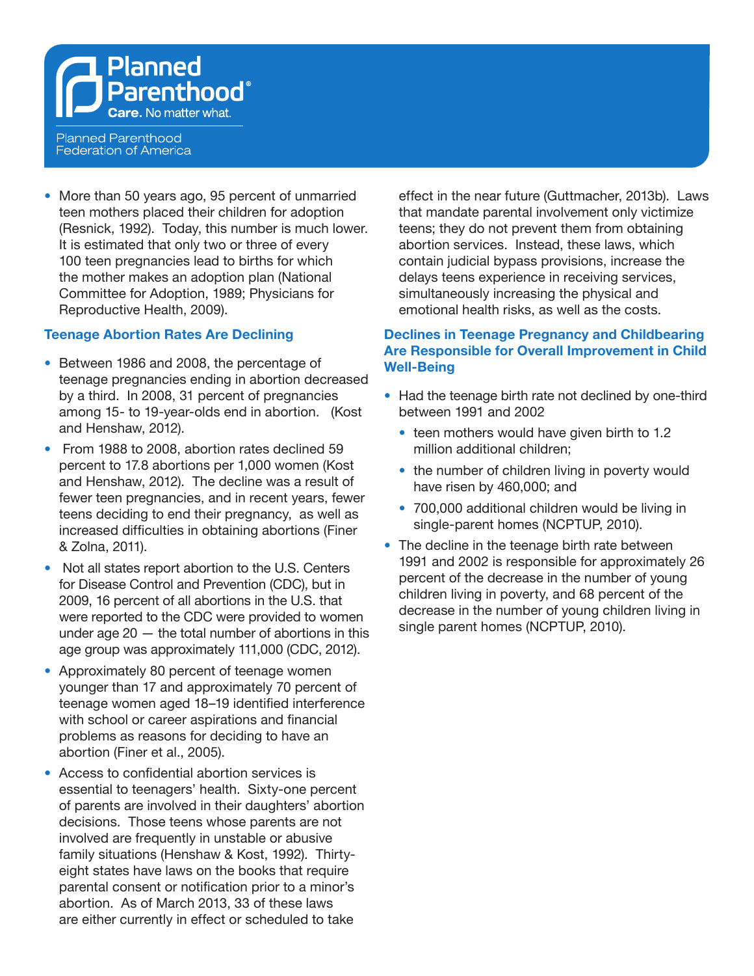**Planned Parenthood**® Care. No matter what.

**Planned Parenthood Federation of America** 

• More than 50 years ago, 95 percent of unmarried teen mothers placed their children for adoption (Resnick, 1992). Today, this number is much lower. It is estimated that only two or three of every 100 teen pregnancies lead to births for which the mother makes an adoption plan (National Committee for Adoption, 1989; Physicians for Reproductive Health, 2009).

### **Teenage Abortion Rates Are Declining**

- **•**  Between 1986 and 2008, the percentage of teenage pregnancies ending in abortion decreased by a third. In 2008, 31 percent of pregnancies among 15- to 19-year-olds end in abortion. (Kost and Henshaw, 2012).
- **•**  From 1988 to 2008, abortion rates declined 59 percent to 17.8 abortions per 1,000 women (Kost and Henshaw, 2012). The decline was a result of fewer teen pregnancies, and in recent years, fewer teens deciding to end their pregnancy, as well as increased difficulties in obtaining abortions (Finer & Zolna, 2011).
- Not all states report abortion to the U.S. Centers for Disease Control and Prevention (CDC), but in 2009, 16 percent of all abortions in the U.S. that were reported to the CDC were provided to women under age  $20 -$  the total number of abortions in this age group was approximately 111,000 (CDC, 2012).
- **•**  Approximately 80 percent of teenage women younger than 17 and approximately 70 percent of teenage women aged 18–19 identified interference with school or career aspirations and financial problems as reasons for deciding to have an abortion (Finer et al., 2005).
- **•**  Access to confidential abortion services is essential to teenagers' health. Sixty-one percent of parents are involved in their daughters' abortion decisions. Those teens whose parents are not involved are frequently in unstable or abusive family situations (Henshaw & Kost, 1992). Thirtyeight states have laws on the books that require parental consent or notification prior to a minor's abortion. As of March 2013, 33 of these laws are either currently in effect or scheduled to take

effect in the near future (Guttmacher, 2013b). Laws that mandate parental involvement only victimize teens; they do not prevent them from obtaining abortion services. Instead, these laws, which contain judicial bypass provisions, increase the delays teens experience in receiving services, simultaneously increasing the physical and emotional health risks, as well as the costs.

## **Declines in Teenage Pregnancy and Childbearing Are Responsible for Overall Improvement in Child Well-Being**

- Had the teenage birth rate not declined by one-third between 1991 and 2002
	- teen mothers would have given birth to 1.2 million additional children;
	- the number of children living in poverty would have risen by 460,000; and
	- **•**  700,000 additional children would be living in single-parent homes (NCPTUP, 2010).
- The decline in the teenage birth rate between 1991 and 2002 is responsible for approximately 26 percent of the decrease in the number of young children living in poverty, and 68 percent of the decrease in the number of young children living in single parent homes (NCPTUP, 2010).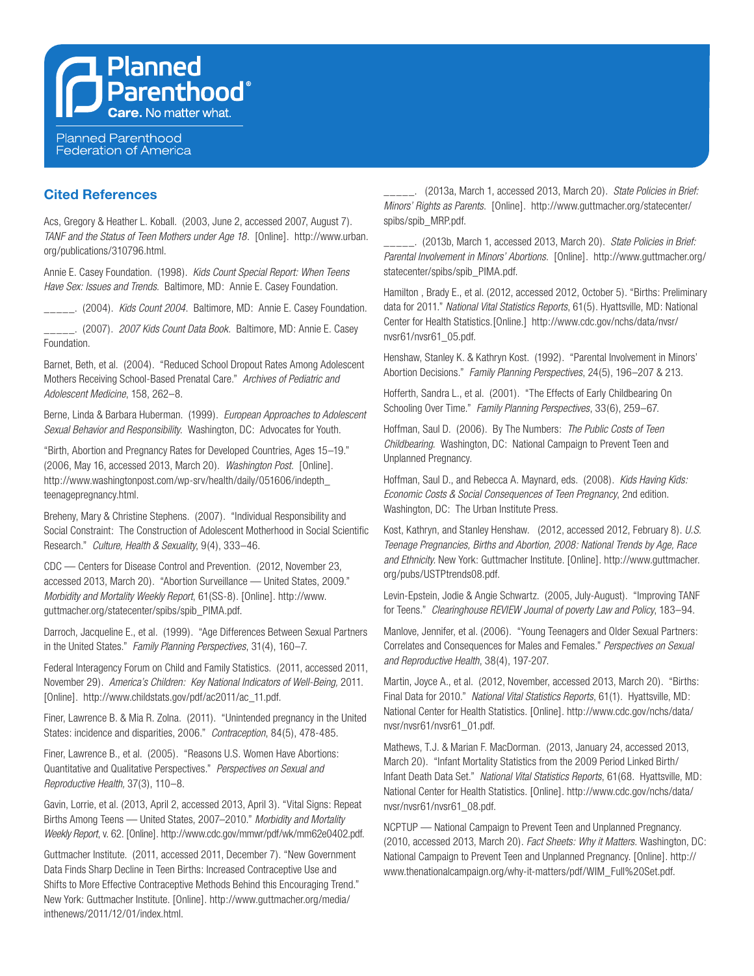### **Cited References**

Acs, Gregory & Heather L. Koball. (2003, June 2, accessed 2007, August 7). *TANF and the Status of Teen Mothers under Age 18*. [Online]. http://www.urban. org/publications/310796.html.

Annie E. Casey Foundation. (1998). *Kids Count Special Report: When Teens Have Sex: Issues and Trends.* Baltimore, MD: Annie E. Casey Foundation.

\_\_\_\_\_. (2004). *Kids Count 2004*. Baltimore, MD: Annie E. Casey Foundation.

\_\_\_\_\_. (2007). *2007 Kids Count Data Book*. Baltimore, MD: Annie E. Casey Foundation.

Barnet, Beth, et al. (2004). "Reduced School Dropout Rates Among Adolescent Mothers Receiving School-Based Prenatal Care." *Archives of Pediatric and Adolescent Medicine*, 158, 262–8.

Berne, Linda & Barbara Huberman. (1999). *European Approaches to Adolescent Sexual Behavior and Responsibility*. Washington, DC: Advocates for Youth.

"Birth, Abortion and Pregnancy Rates for Developed Countries, Ages 15–19." (2006, May 16, accessed 2013, March 20). *Washington Post*. [Online]. http://www.washingtonpost.com/wp-srv/health/daily/051606/indepth\_ teenagepregnancy.html.

Breheny, Mary & Christine Stephens. (2007). "Individual Responsibility and Social Constraint: The Construction of Adolescent Motherhood in Social Scientific Research." *Culture, Health & Sexuality*, 9(4), 333–46.

CDC — Centers for Disease Control and Prevention. (2012, November 23, accessed 2013, March 20). "Abortion Surveillance — United States, 2009." *Morbidity and Mortality Weekly Report*, 61(SS-8). [Online]. http://www. guttmacher.org/statecenter/spibs/spib\_PIMA.pdf.

Darroch, Jacqueline E., et al. (1999). "Age Differences Between Sexual Partners in the United States." *Family Planning Perspectives*, 31(4), 160–7.

Federal Interagency Forum on Child and Family Statistics. (2011, accessed 2011, November 29). *America's Children: Key National Indicators of Well-Being,* 2011. [Online]. http://www.childstats.gov/pdf/ac2011/ac\_11.pdf.

Finer, Lawrence B. & Mia R. Zolna. (2011). "Unintended pregnancy in the United States: incidence and disparities, 2006." *Contraception*, 84(5), 478-485.

Finer, Lawrence B., et al. (2005). "Reasons U.S. Women Have Abortions: Quantitative and Qualitative Perspectives." *Perspectives on Sexual and Reproductive Health,* 37(3), 110–8.

Gavin, Lorrie, et al. (2013, April 2, accessed 2013, April 3). "Vital Signs: Repeat Births Among Teens — United States, 2007–2010." *Morbidity and Mortality Weekly Report*, v. 62. [Online]. http://www.cdc.gov/mmwr/pdf/wk/mm62e0402.pdf.

Guttmacher Institute. (2011, accessed 2011, December 7). "New Government Data Finds Sharp Decline in Teen Births: Increased Contraceptive Use and Shifts to More Effective Contraceptive Methods Behind this Encouraging Trend." New York: Guttmacher Institute. [Online]. http://www.guttmacher.org/media/ inthenews/2011/12/01/index.html.

\_\_\_\_\_. (2013a, March 1, accessed 2013, March 20). *State Policies in Brief: Minors' Rights as Parents*. [Online]. http://www.guttmacher.org/statecenter/ spibs/spib\_MRP.pdf.

\_\_\_\_\_. (2013b, March 1, accessed 2013, March 20). *State Policies in Brief: Parental Involvement in Minors' Abortions*. [Online]. http://www.guttmacher.org/ statecenter/spibs/spib\_PIMA.pdf.

Hamilton , Brady E., et al. (2012, accessed 2012, October 5). "Births: Preliminary data for 2011." *National Vital Statistics Reports*, 61(5). Hyattsville, MD: National Center for Health Statistics.[Online.] http://www.cdc.gov/nchs/data/nvsr/ nvsr61/nvsr61\_05.pdf.

Henshaw, Stanley K. & Kathryn Kost. (1992). "Parental Involvement in Minors' Abortion Decisions." *Family Planning Perspectives*, 24(5), 196–207 & 213.

Hofferth, Sandra L., et al. (2001). "The Effects of Early Childbearing On Schooling Over Time." *Family Planning Perspectives*, 33(6), 259–67.

Hoffman, Saul D. (2006). By The Numbers: *The Public Costs of Teen Childbearing.* Washington, DC: National Campaign to Prevent Teen and Unplanned Pregnancy.

Hoffman, Saul D., and Rebecca A. Maynard, eds. (2008). *Kids Having Kids: Economic Costs & Social Consequences of Teen Pregnancy*, 2nd edition. Washington, DC: The Urban Institute Press.

Kost, Kathryn, and Stanley Henshaw. (2012, accessed 2012, February 8). *U.S. Teenage Pregnancies, Births and Abortion, 2008: National Trends by Age, Race and Ethnicity.* New York: Guttmacher Institute. [Online]. http://www.guttmacher. org/pubs/USTPtrends08.pdf.

Levin-Epstein, Jodie & Angie Schwartz. (2005, July-August). "Improving TANF for Teens." *Clearinghouse REVIEW Journal of poverty Law and Policy*, 183–94.

Manlove, Jennifer, et al. (2006). "Young Teenagers and Older Sexual Partners: Correlates and Consequences for Males and Females." *Perspectives on Sexual and Reproductive Health*, 38(4), 197-207.

Martin, Joyce A., et al. (2012, November, accessed 2013, March 20). "Births: Final Data for 2010." *National Vital Statistics Reports*, 61(1). Hyattsville, MD: National Center for Health Statistics. [Online]. http://www.cdc.gov/nchs/data/ nvsr/nvsr61/nvsr61\_01.pdf.

Mathews, T.J. & Marian F. MacDorman. (2013, January 24, accessed 2013, March 20). "Infant Mortality Statistics from the 2009 Period Linked Birth/ Infant Death Data Set." *National Vital Statistics Reports*, 61(68. Hyattsville, MD: National Center for Health Statistics. [Online]. http://www.cdc.gov/nchs/data/ nvsr/nvsr61/nvsr61\_08.pdf.

NCPTUP — National Campaign to Prevent Teen and Unplanned Pregnancy. (2010, accessed 2013, March 20). *Fact Sheets: Why it Matters*. Washington, DC: National Campaign to Prevent Teen and Unplanned Pregnancy. [Online]. http:// www.thenationalcampaign.org/why-it-matters/pdf/WIM\_Full%20Set.pdf.